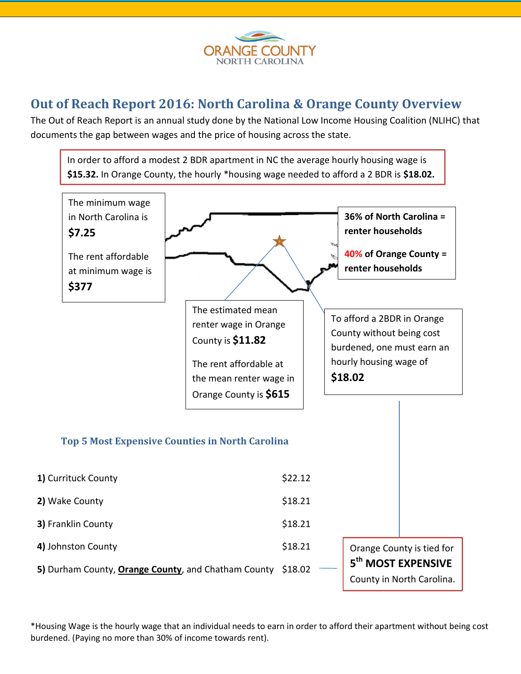

## **Out of Reach Report 2016: North Carolina & Orange County Overview**

The Out of Reach Report is an annual study done by the National Low Income Housing Coalition (NLIHC) that documents the gap between wages and the price of housing across the state.



**5)** Durham County, **Orange County**, and Chatham County \$18.02

**5 th MOST EXPENSIVE** County in North Carolina.

\*Housing Wage is the hourly wage that an individual needs to earn in order to afford their apartment without being cost burdened. (Paying no more than 30% of income towards rent).